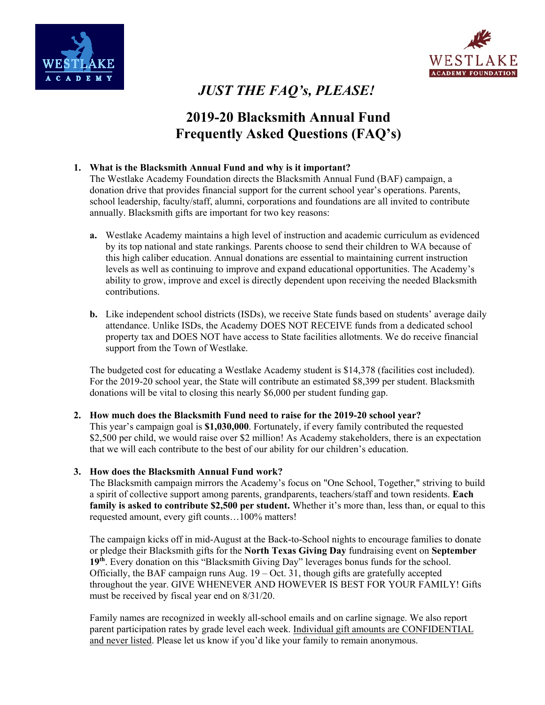



# *JUST THE FAQ's, PLEASE!*

# **2019-20 Blacksmith Annual Fund Frequently Asked Questions (FAQ's)**

## **1. What is the Blacksmith Annual Fund and why is it important?**

The Westlake Academy Foundation directs the Blacksmith Annual Fund (BAF) campaign, a donation drive that provides financial support for the current school year's operations. Parents, school leadership, faculty/staff, alumni, corporations and foundations are all invited to contribute annually. Blacksmith gifts are important for two key reasons:

- **a.** Westlake Academy maintains a high level of instruction and academic curriculum as evidenced by its top national and state rankings. Parents choose to send their children to WA because of this high caliber education. Annual donations are essential to maintaining current instruction levels as well as continuing to improve and expand educational opportunities. The Academy's ability to grow, improve and excel is directly dependent upon receiving the needed Blacksmith contributions.
- **b.** Like independent school districts (ISDs), we receive State funds based on students' average daily attendance. Unlike ISDs, the Academy DOES NOT RECEIVE funds from a dedicated school property tax and DOES NOT have access to State facilities allotments. We do receive financial support from the Town of Westlake.

The budgeted cost for educating a Westlake Academy student is \$14,378 (facilities cost included). For the 2019-20 school year, the State will contribute an estimated \$8,399 per student. Blacksmith donations will be vital to closing this nearly \$6,000 per student funding gap.

#### **2. How much does the Blacksmith Fund need to raise for the 2019-20 school year?**

This year's campaign goal is **\$1,030,000**. Fortunately, if every family contributed the requested \$2,500 per child, we would raise over \$2 million! As Academy stakeholders, there is an expectation that we will each contribute to the best of our ability for our children's education.

#### **3. How does the Blacksmith Annual Fund work?**

The Blacksmith campaign mirrors the Academy's focus on "One School, Together," striving to build a spirit of collective support among parents, grandparents, teachers/staff and town residents. **Each family is asked to contribute \$2,500 per student.** Whether it's more than, less than, or equal to this requested amount, every gift counts…100% matters!

The campaign kicks off in mid-August at the Back-to-School nights to encourage families to donate or pledge their Blacksmith gifts for the **North Texas Giving Day** fundraising event on **September 19th**. Every donation on this "Blacksmith Giving Day" leverages bonus funds for the school. Officially, the BAF campaign runs Aug.  $19 - Oct. 31$ , though gifts are gratefully accepted throughout the year. GIVE WHENEVER AND HOWEVER IS BEST FOR YOUR FAMILY! Gifts must be received by fiscal year end on 8/31/20.

Family names are recognized in weekly all-school emails and on carline signage. We also report parent participation rates by grade level each week. Individual gift amounts are CONFIDENTIAL and never listed. Please let us know if you'd like your family to remain anonymous.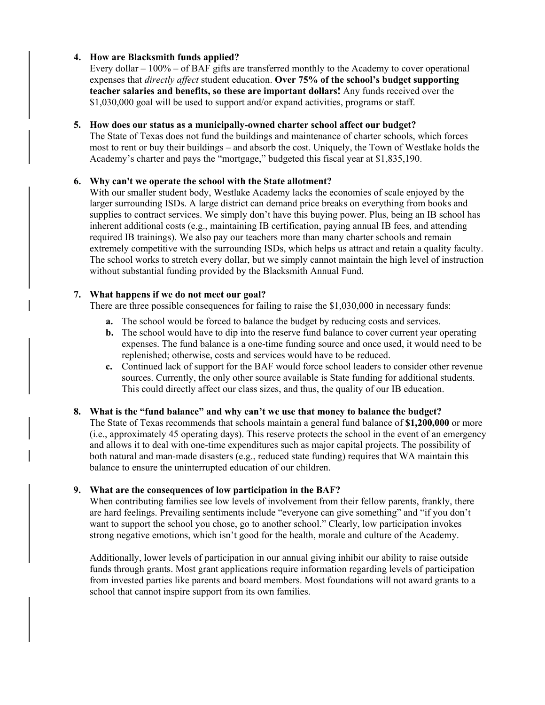## **4. How are Blacksmith funds applied?**

Every dollar – 100% – of BAF gifts are transferred monthly to the Academy to cover operational expenses that *directly affect* student education. **Over 75% of the school's budget supporting teacher salaries and benefits, so these are important dollars!** Any funds received over the \$1,030,000 goal will be used to support and/or expand activities, programs or staff.

#### **5. How does our status as a municipally-owned charter school affect our budget?**

The State of Texas does not fund the buildings and maintenance of charter schools, which forces most to rent or buy their buildings – and absorb the cost. Uniquely, the Town of Westlake holds the Academy's charter and pays the "mortgage," budgeted this fiscal year at \$1,835,190.

## **6. Why can't we operate the school with the State allotment?**

With our smaller student body, Westlake Academy lacks the economies of scale enjoyed by the larger surrounding ISDs. A large district can demand price breaks on everything from books and supplies to contract services. We simply don't have this buying power. Plus, being an IB school has inherent additional costs (e.g., maintaining IB certification, paying annual IB fees, and attending required IB trainings). We also pay our teachers more than many charter schools and remain extremely competitive with the surrounding ISDs, which helps us attract and retain a quality faculty. The school works to stretch every dollar, but we simply cannot maintain the high level of instruction without substantial funding provided by the Blacksmith Annual Fund.

## **7. What happens if we do not meet our goal?**

There are three possible consequences for failing to raise the \$1,030,000 in necessary funds:

- **a.** The school would be forced to balance the budget by reducing costs and services.
- **b.** The school would have to dip into the reserve fund balance to cover current year operating expenses. The fund balance is a one-time funding source and once used, it would need to be replenished; otherwise, costs and services would have to be reduced.
- **c.** Continued lack of support for the BAF would force school leaders to consider other revenue sources. Currently, the only other source available is State funding for additional students. This could directly affect our class sizes, and thus, the quality of our IB education.

#### **8. What is the "fund balance" and why can't we use that money to balance the budget?**

The State of Texas recommends that schools maintain a general fund balance of **\$1,200,000** or more (i.e., approximately 45 operating days). This reserve protects the school in the event of an emergency and allows it to deal with one-time expenditures such as major capital projects. The possibility of both natural and man-made disasters (e.g., reduced state funding) requires that WA maintain this balance to ensure the uninterrupted education of our children.

# **9. What are the consequences of low participation in the BAF?**

When contributing families see low levels of involvement from their fellow parents, frankly, there are hard feelings. Prevailing sentiments include "everyone can give something" and "if you don't want to support the school you chose, go to another school." Clearly, low participation invokes strong negative emotions, which isn't good for the health, morale and culture of the Academy.

Additionally, lower levels of participation in our annual giving inhibit our ability to raise outside funds through grants. Most grant applications require information regarding levels of participation from invested parties like parents and board members. Most foundations will not award grants to a school that cannot inspire support from its own families.